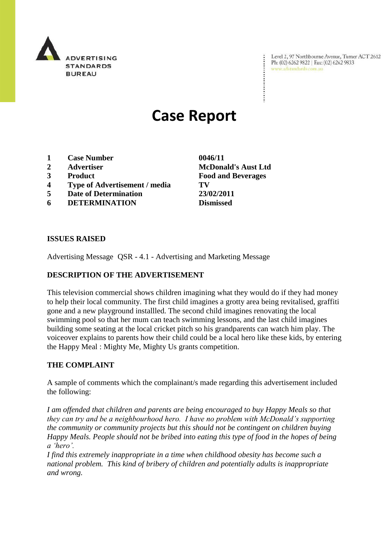

Level 2, 97 Northbourne Avenue, Turner ACT 2612 Ph: (02) 6262 9822 | Fax: (02) 6262 9833 www.adstandards.com.au

# **Case Report**

- **1 Case Number 0046/11**
- 
- 
- **4 Type of Advertisement / media TV**
- **5 Date of Determination 23/02/2011**
- **6 DETERMINATION Dismissed**

**ISSUES RAISED**

Advertising Message QSR - 4.1 - Advertising and Marketing Message

## **DESCRIPTION OF THE ADVERTISEMENT**

This television commercial shows children imagining what they would do if they had money to help their local community. The first child imagines a grotty area being revitalised, graffiti gone and a new playground installled. The second child imagines renovating the local swimming pool so that her mum can teach swimming lessons, and the last child imagines building some seating at the local cricket pitch so his grandparents can watch him play. The voiceover explains to parents how their child could be a local hero like these kids, by entering the Happy Meal : Mighty Me, Mighty Us grants competition.

## **THE COMPLAINT**

A sample of comments which the complainant/s made regarding this advertisement included the following:

*I am offended that children and parents are being encouraged to buy Happy Meals so that they can try and be a neighbourhood hero. I have no problem with McDonald"s supporting the community or community projects but this should not be contingent on children buying Happy Meals. People should not be bribed into eating this type of food in the hopes of being a "hero".* 

*I find this extremely inappropriate in a time when childhood obesity has become such a national problem. This kind of bribery of children and potentially adults is inappropriate and wrong.*

**2 Advertiser McDonald's Aust Ltd 3 Product Food and Beverages**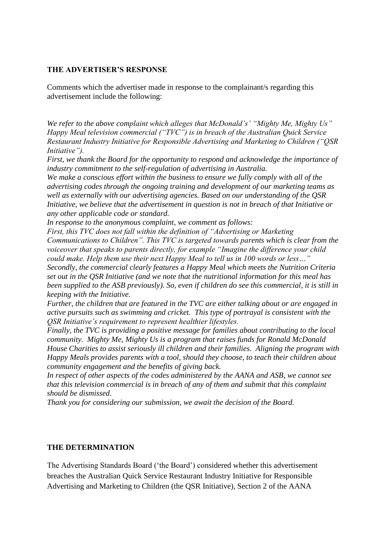#### **THE ADVERTISER'S RESPONSE**

Comments which the advertiser made in response to the complainant/s regarding this advertisement include the following:

*We refer to the above complaint which alleges that McDonald"s" "Mighty Me, Mighty Us" Happy Meal television commercial ("TVC") is in breach of the Australian Quick Service Restaurant Industry Initiative for Responsible Advertising and Marketing to Children ("QSR Initiative").* 

*First, we thank the Board for the opportunity to respond and acknowledge the importance of industry commitment to the self-regulation of advertising in Australia.* 

*We make a conscious effort within the business to ensure we fully comply with all of the advertising codes through the ongoing training and development of our marketing teams as well as externally with our advertising agencies. Based on our understanding of the QSR Initiative, we believe that the advertisement in question is not in breach of that Initiative or any other applicable code or standard.* 

*In response to the anonymous complaint, we comment as follows:*

*First, this TVC does not fall within the definition of "Advertising or Marketing Communications to Children". This TVC is targeted towards parents which is clear from the voiceover that speaks to parents directly, for example "Imagine the difference your child could make. Help them use their next Happy Meal to tell us in 100 words or less…" Secondly, the commercial clearly features a Happy Meal which meets the Nutrition Criteria* 

*set out in the QSR Initiative (and we note that the nutritional information for this meal has been supplied to the ASB previously). So, even if children do see this commercial, it is still in keeping with the Initiative.*

*Further, the children that are featured in the TVC are either talking about or are engaged in active pursuits such as swimming and cricket. This type of portrayal is consistent with the QSR Initiative"s requirement to represent healthier lifestyles.* 

*Finally, the TVC is providing a positive message for families about contributing to the local community. Mighty Me, Mighty Us is a program that raises funds for Ronald McDonald House Charities to assist seriously ill children and their families. Aligning the program with Happy Meals provides parents with a tool, should they choose, to teach their children about community engagement and the benefits of giving back.*

*In respect of other aspects of the codes administered by the AANA and ASB, we cannot see that this television commercial is in breach of any of them and submit that this complaint should be dismissed.*

*Thank you for considering our submission, we await the decision of the Board.*

#### **THE DETERMINATION**

The Advertising Standards Board ("the Board") considered whether this advertisement breaches the Australian Quick Service Restaurant Industry Initiative for Responsible Advertising and Marketing to Children (the QSR Initiative), Section 2 of the AANA